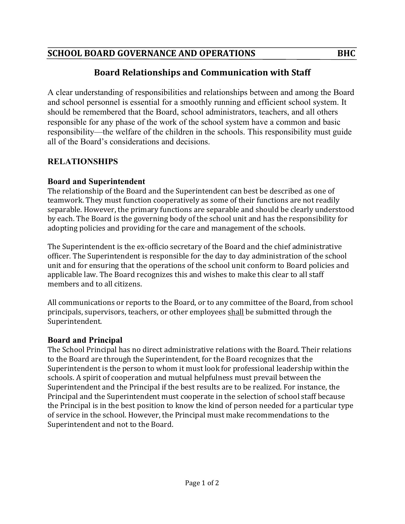### SCHOOL BOARD GOVERNANCE AND OPERATIONS **BHC**

# **Board Relationships and Communication with Staff**

A clear understanding of responsibilities and relationships between and among the Board and school personnel is essential for a smoothly running and efficient school system. It should be remembered that the Board, school administrators, teachers, and all others responsible for any phase of the work of the school system have a common and basic responsibility—the welfare of the children in the schools. This responsibility must guide all of the Board's considerations and decisions.

## **RELATIONSHIPS**

### **Board and Superintendent**

The relationship of the Board and the Superintendent can best be described as one of teamwork. They must function cooperatively as some of their functions are not readily separable. However, the primary functions are separable and should be clearly understood by each. The Board is the governing body of the school unit and has the responsibility for adopting policies and providing for the care and management of the schools.

The Superintendent is the ex-officio secretary of the Board and the chief administrative officer. The Superintendent is responsible for the day to day administration of the school unit and for ensuring that the operations of the school unit conform to Board policies and applicable law. The Board recognizes this and wishes to make this clear to all staff members and to all citizens.

All communications or reports to the Board, or to any committee of the Board, from school principals, supervisors, teachers, or other employees shall be submitted through the Superintendent.

### **Board and Principal**

The School Principal has no direct administrative relations with the Board. Their relations to the Board are through the Superintendent, for the Board recognizes that the Superintendent is the person to whom it must look for professional leadership within the schools. A spirit of cooperation and mutual helpfulness must prevail between the Superintendent and the Principal if the best results are to be realized. For instance, the Principal and the Superintendent must cooperate in the selection of school staff because the Principal is in the best position to know the kind of person needed for a particular type of service in the school. However, the Principal must make recommendations to the Superintendent and not to the Board.